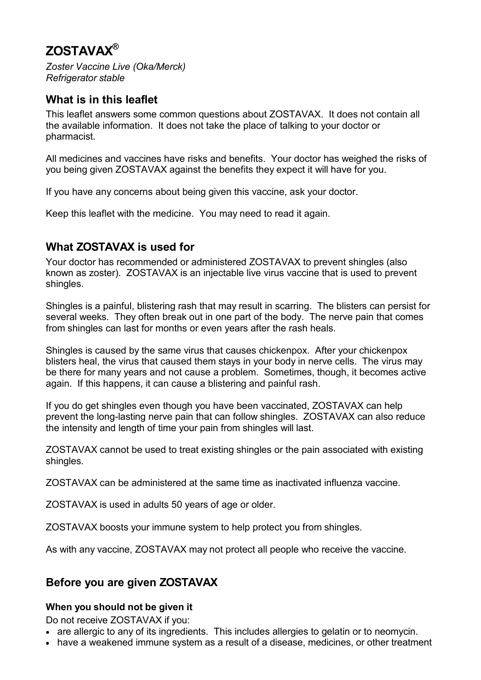# **ZOSTAVAX®**

*Zoster Vaccine Live (Oka/Merck) Refrigerator stable*

### **What is in this leaflet**

This leaflet answers some common questions about ZOSTAVAX. It does not contain all the available information. It does not take the place of talking to your doctor or pharmacist.

All medicines and vaccines have risks and benefits. Your doctor has weighed the risks of you being given ZOSTAVAX against the benefits they expect it will have for you.

If you have any concerns about being given this vaccine, ask your doctor.

Keep this leaflet with the medicine. You may need to read it again.

### **What ZOSTAVAX is used for**

Your doctor has recommended or administered ZOSTAVAX to prevent shingles (also known as zoster). ZOSTAVAX is an injectable live virus vaccine that is used to prevent shingles.

Shingles is a painful, blistering rash that may result in scarring. The blisters can persist for several weeks. They often break out in one part of the body. The nerve pain that comes from shingles can last for months or even years after the rash heals.

Shingles is caused by the same virus that causes chickenpox. After your chickenpox blisters heal, the virus that caused them stays in your body in nerve cells. The virus may be there for many years and not cause a problem. Sometimes, though, it becomes active again. If this happens, it can cause a blistering and painful rash.

If you do get shingles even though you have been vaccinated, ZOSTAVAX can help prevent the long-lasting nerve pain that can follow shingles. ZOSTAVAX can also reduce the intensity and length of time your pain from shingles will last.

ZOSTAVAX cannot be used to treat existing shingles or the pain associated with existing shingles.

ZOSTAVAX can be administered at the same time as inactivated influenza vaccine.

ZOSTAVAX is used in adults 50 years of age or older.

ZOSTAVAX boosts your immune system to help protect you from shingles.

As with any vaccine, ZOSTAVAX may not protect all people who receive the vaccine.

# **Before you are given ZOSTAVAX**

### **When you should not be given it**

Do not receive ZOSTAVAX if you:

- are allergic to any of its ingredients. This includes allergies to gelatin or to neomycin.
- have a weakened immune system as a result of a disease, medicines, or other treatment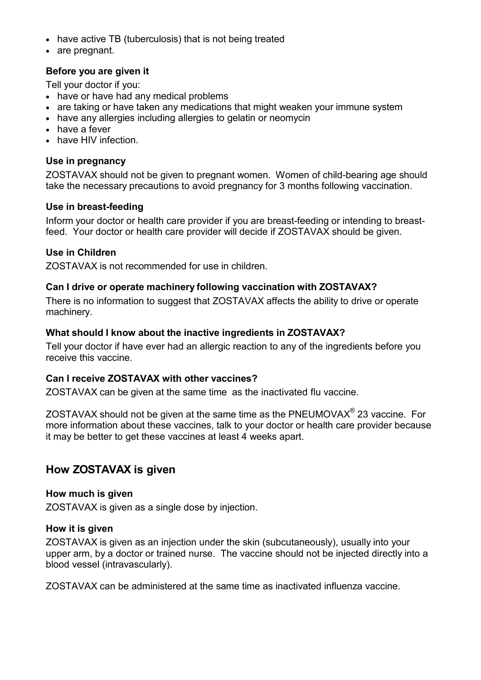- have active TB (tuberculosis) that is not being treated
- are pregnant.

### **Before you are given it**

Tell your doctor if you:

- have or have had any medical problems
- are taking or have taken any medications that might weaken your immune system
- have any allergies including allergies to gelatin or neomycin
- have a fever
- have HIV infection.

### **Use in pregnancy**

ZOSTAVAX should not be given to pregnant women. Women of child-bearing age should take the necessary precautions to avoid pregnancy for 3 months following vaccination.

#### **Use in breast-feeding**

Inform your doctor or health care provider if you are breast-feeding or intending to breastfeed. Your doctor or health care provider will decide if ZOSTAVAX should be given.

### **Use in Children**

ZOSTAVAX is not recommended for use in children.

### **Can I drive or operate machinery following vaccination with ZOSTAVAX?**

There is no information to suggest that ZOSTAVAX affects the ability to drive or operate machinery.

### **What should I know about the inactive ingredients in ZOSTAVAX?**

Tell your doctor if have ever had an allergic reaction to any of the ingredients before you receive this vaccine.

#### **Can I receive ZOSTAVAX with other vaccines?**

ZOSTAVAX can be given at the same time as the inactivated flu vaccine.

ZOSTAVAX should not be given at the same time as the PNEUMOVAX $^{\circ}$  23 vaccine. For more information about these vaccines, talk to your doctor or health care provider because it may be better to get these vaccines at least 4 weeks apart.

### **How ZOSTAVAX is given**

#### **How much is given**

ZOSTAVAX is given as a single dose by injection.

#### **How it is given**

ZOSTAVAX is given as an injection under the skin (subcutaneously), usually into your upper arm, by a doctor or trained nurse. The vaccine should not be injected directly into a blood vessel (intravascularly).

ZOSTAVAX can be administered at the same time as inactivated influenza vaccine.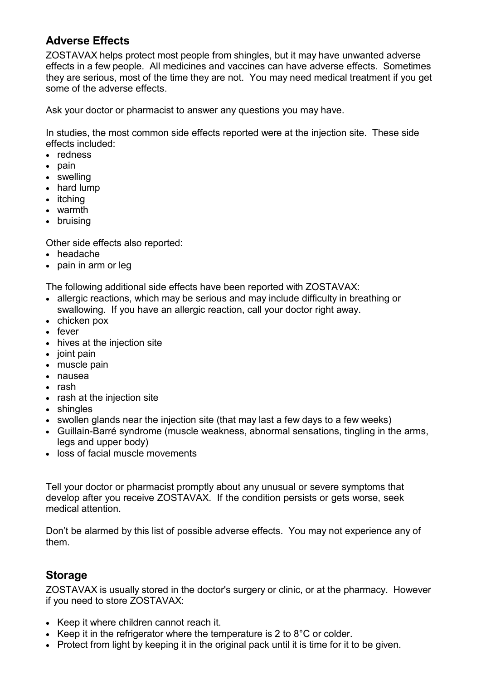# **Adverse Effects**

ZOSTAVAX helps protect most people from shingles, but it may have unwanted adverse effects in a few people. All medicines and vaccines can have adverse effects. Sometimes they are serious, most of the time they are not. You may need medical treatment if you get some of the adverse effects.

Ask your doctor or pharmacist to answer any questions you may have.

In studies, the most common side effects reported were at the injection site. These side effects included:

- redness
- pain
- swelling
- hard lump
- itching
- warmth
- bruising

Other side effects also reported:

- headache
- pain in arm or leg

The following additional side effects have been reported with ZOSTAVAX:

- allergic reactions, which may be serious and may include difficulty in breathing or swallowing. If you have an allergic reaction, call your doctor right away.
- chicken pox
- fever
- hives at the injection site
- joint pain
- muscle pain
- nausea
- rash
- rash at the injection site
- shingles
- swollen glands near the injection site (that may last a few days to a few weeks)
- Guillain-Barré syndrome (muscle weakness, abnormal sensations, tingling in the arms, legs and upper body)
- loss of facial muscle movements

Tell your doctor or pharmacist promptly about any unusual or severe symptoms that develop after you receive ZOSTAVAX. If the condition persists or gets worse, seek medical attention.

Don't be alarmed by this list of possible adverse effects. You may not experience any of them.

### **Storage**

ZOSTAVAX is usually stored in the doctor's surgery or clinic, or at the pharmacy. However if you need to store ZOSTAVAX:

- Keep it where children cannot reach it.
- Keep it in the refrigerator where the temperature is 2 to 8°C or colder.
- Protect from light by keeping it in the original pack until it is time for it to be given.